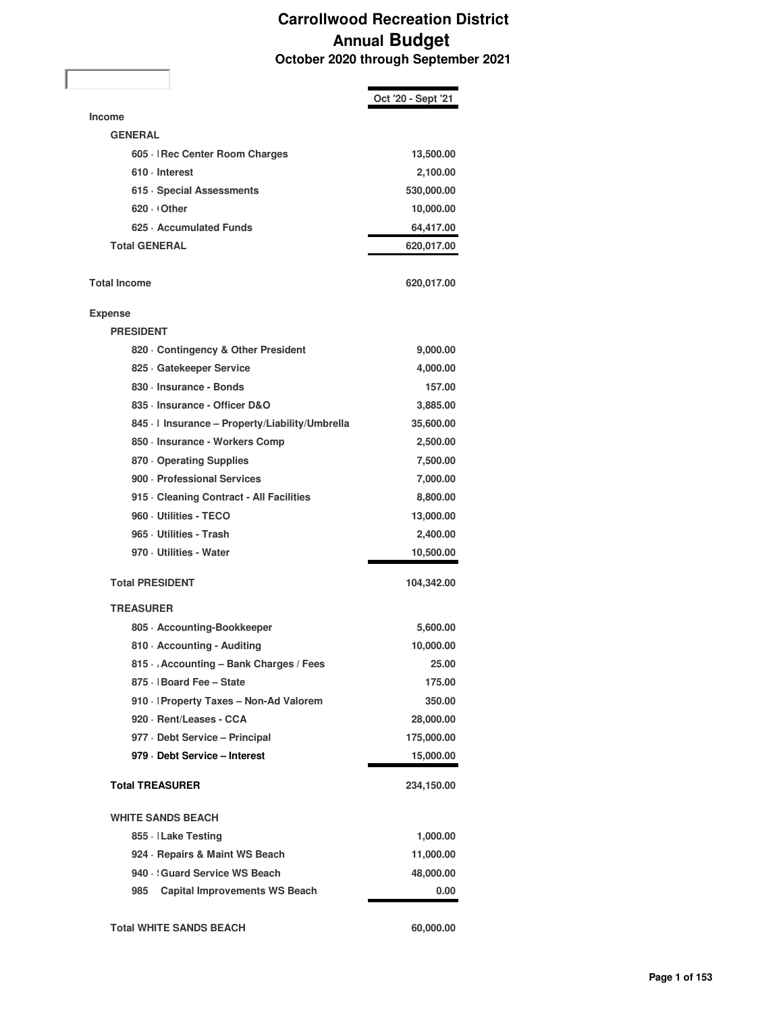## **Carrollwood Recreation District Annual Budget October 2020 through September 2021**

|                                               | Oct '20 - Sept '21 |
|-----------------------------------------------|--------------------|
| <b>Income</b>                                 |                    |
| <b>GENERAL</b>                                |                    |
| 605 -   Rec Center Room Charges               | 13,500.00          |
| 610 - Interest                                | 2,100.00           |
| 615 · Special Assessments                     | 530,000.00         |
| 620 Other                                     | 10,000.00          |
| 625 Accumulated Funds                         | 64,417.00          |
| <b>Total GENERAL</b>                          | 620,017.00         |
|                                               |                    |
| <b>Total Income</b>                           | 620,017.00         |
|                                               |                    |
| <b>Expense</b>                                |                    |
| <b>PRESIDENT</b>                              |                    |
| 820 Contingency & Other President             | 9,000.00           |
| 825 Gatekeeper Service                        | 4,000.00           |
| 830 · Insurance - Bonds                       | 157.00             |
| 835 · Insurance - Officer D&O                 | 3,885.00           |
| 845 · Insurance - Property/Liability/Umbrella | 35,600.00          |
| 850 · Insurance - Workers Comp                | 2,500.00           |
| 870 Operating Supplies                        | 7,500.00           |
| 900 - Professional Services                   | 7,000.00           |
| 915 - Cleaning Contract - All Facilities      | 8,800.00           |
| 960 - Utilities - TECO                        | 13,000.00          |
| 965 Utilities - Trash                         | 2,400.00           |
| 970 - Utilities - Water                       | 10,500.00          |
| <b>Total PRESIDENT</b>                        | 104,342.00         |
| <b>TREASURER</b>                              |                    |
| 805 · Accounting-Bookkeeper                   | 5,600.00           |
| 810 · Accounting - Auditing                   | 10,000.00          |
| 815 · Accounting - Bank Charges / Fees        | 25.00              |
| 875 · Board Fee - State                       | 175.00             |
| 910 · Property Taxes - Non-Ad Valorem         | 350.00             |
| 920 · Rent/Leases - CCA                       | 28,000.00          |
| 977 - Debt Service - Principal                | 175,000.00         |
| 979 - Debt Service – Interest                 | 15,000.00          |
|                                               |                    |
| <b>Total TREASURER</b>                        | 234,150.00         |
| <b>WHITE SANDS BEACH</b>                      |                    |
| 855 · Lake Testing                            | 1,000.00           |
| 924 · Repairs & Maint WS Beach                | 11,000.00          |
| 940 Guard Service WS Beach                    | 48,000.00          |
| <b>Capital Improvements WS Beach</b><br>985   | 0.00               |
| <b>Total WHITE SANDS BEACH</b>                | 60,000.00          |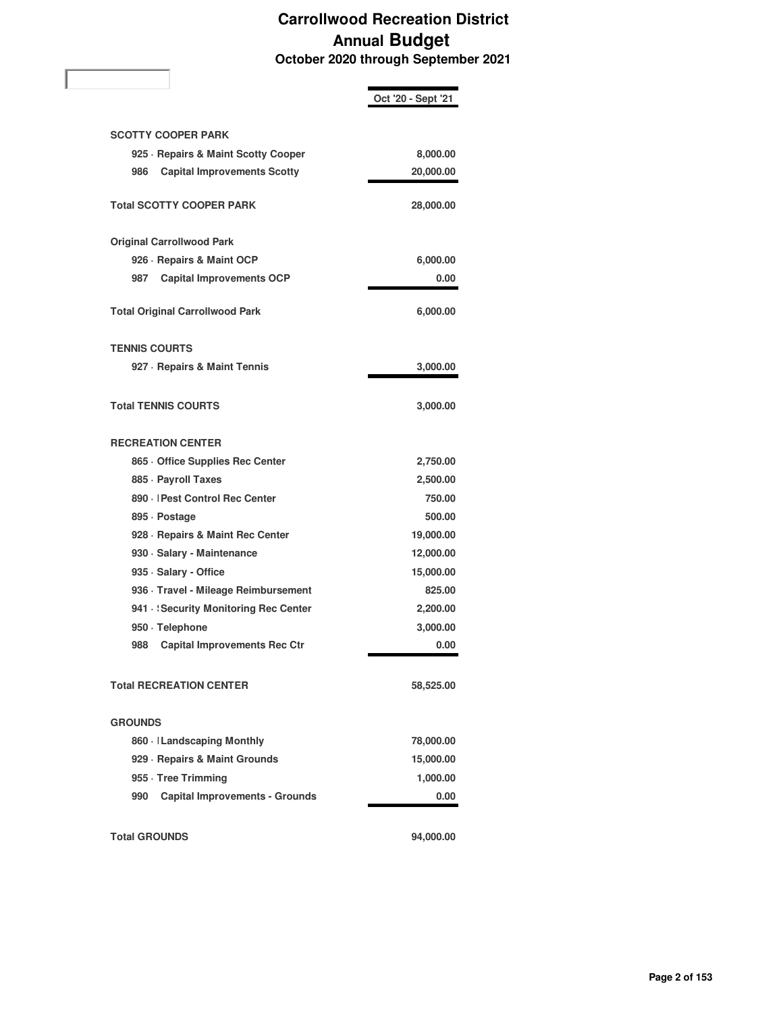## **Carrollwood Recreation District Annual Budget October 2020 through September 2021**

|                                              | Oct '20 - Sept '21 |
|----------------------------------------------|--------------------|
| <b>SCOTTY COOPER PARK</b>                    |                    |
| 925 · Repairs & Maint Scotty Cooper          | 8,000.00           |
| 986<br><b>Capital Improvements Scotty</b>    | 20,000.00          |
|                                              |                    |
| <b>Total SCOTTY COOPER PARK</b>              | 28,000.00          |
| <b>Original Carrollwood Park</b>             |                    |
| 926 · Repairs & Maint OCP                    | 6,000.00           |
| <b>Capital Improvements OCP</b><br>987       | 0.00               |
| <b>Total Original Carrollwood Park</b>       | 6,000.00           |
| <b>TENNIS COURTS</b>                         |                    |
| 927 · Repairs & Maint Tennis                 | 3,000.00           |
| <b>Total TENNIS COURTS</b>                   | 3,000.00           |
| <b>RECREATION CENTER</b>                     |                    |
| 865 Office Supplies Rec Center               | 2,750.00           |
| 885 · Payroll Taxes                          | 2,500.00           |
| 890 -   Pest Control Rec Center              | 750.00             |
| 895 Dostage                                  | 500.00             |
| 928 · Repairs & Maint Rec Center             | 19,000.00          |
| 930 · Salary - Maintenance                   | 12,000.00          |
| 935 · Salary - Office                        | 15,000.00          |
| 936 · Travel - Mileage Reimbursement         | 825.00             |
| 941 · Security Monitoring Rec Center         | 2,200.00           |
| 950 · Telephone                              | 3,000.00           |
| <b>Capital Improvements Rec Ctr</b><br>988   | 0.00               |
| <b>Total RECREATION CENTER</b>               | 58,525.00          |
| <b>GROUNDS</b>                               |                    |
| 860 · Landscaping Monthly                    | 78,000.00          |
| 929 · Repairs & Maint Grounds                | 15,000.00          |
| 955 · Tree Trimming                          | 1,000.00           |
| <b>Capital Improvements - Grounds</b><br>990 | 0.00               |
| <b>Total GROUNDS</b>                         | 94,000.00          |